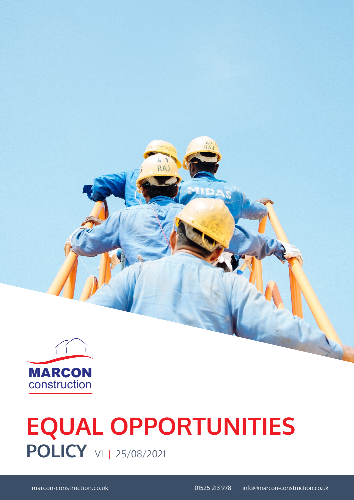

# **POLICY V1 | 25/08/2021 EQUAL OPPORTUNITIES**

 $47$ <br>RAJ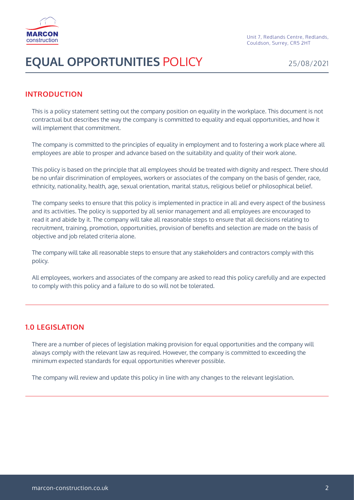

### **INTRODUCTION**

This is a policy statement setting out the company position on equality in the workplace. This document is not contractual but describes the way the company is committed to equality and equal opportunities, and how it will implement that commitment.

The company is committed to the principles of equality in employment and to fostering a work place where all employees are able to prosper and advance based on the suitability and quality of their work alone.

This policy is based on the principle that all employees should be treated with dignity and respect. There should be no unfair discrimination of employees, workers or associates of the company on the basis of gender, race, ethnicity, nationality, health, age, sexual orientation, marital status, religious belief or philosophical belief.

The company seeks to ensure that this policy is implemented in practice in all and every aspect of the business and its activities. The policy is supported by all senior management and all employees are encouraged to read it and abide by it. The company will take all reasonable steps to ensure that all decisions relating to recruitment, training, promotion, opportunities, provision of benefits and selection are made on the basis of objective and job related criteria alone.

The company will take all reasonable steps to ensure that any stakeholders and contractors comply with this policy.

All employees, workers and associates of the company are asked to read this policy carefully and are expected to comply with this policy and a failure to do so will not be tolerated.

### **1.0 LEGISLATION**

There are a number of pieces of legislation making provision for equal opportunities and the company will always comply with the relevant law as required. However, the company is committed to exceeding the minimum expected standards for equal opportunities wherever possible.

The company will review and update this policy in line with any changes to the relevant legislation.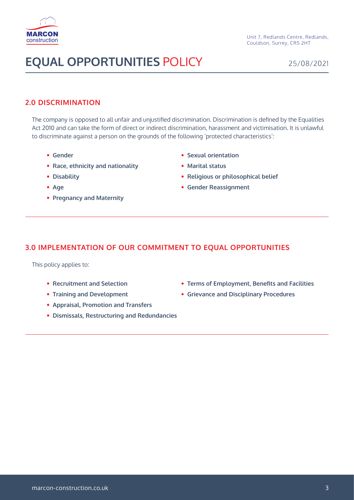

#### **2.0 DISCRIMINATION**

The company is opposed to all unfair and unjustified discrimination. Discrimination is defined by the Equalities Act 2010 and can take the form of direct or indirect discrimination, harassment and victimisation. It is unlawful to discriminate against a person on the grounds of the following 'protected characteristics':

- • **Gender**
- • **Race, ethnicity and nationality**
- • **Disability**
- • **Age**
- • **Pregnancy and Maternity**
- • **Sexual orientation**
- • **Marital status**
- • **Religious or philosophical belief**
- • **Gender Reassignment**

#### **3.0 IMPLEMENTATION OF OUR COMMITMENT TO EQUAL OPPORTUNITIES**

This policy applies to:

- • **Recruitment and Selection**
- • **Training and Development**
- • **Appraisal, Promotion and Transfers**
- • **Dismissals, Restructuring and Redundancies**
- • **Terms of Employment, Benefits and Facilities**
- • **Grievance and Disciplinary Procedures**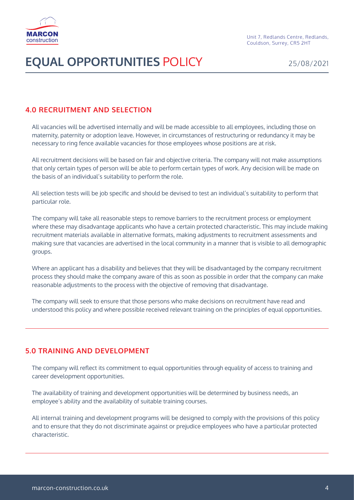

### **4.0 RECRUITMENT AND SELECTION**

All vacancies will be advertised internally and will be made accessible to all employees, including those on maternity, paternity or adoption leave. However, in circumstances of restructuring or redundancy it may be necessary to ring fence available vacancies for those employees whose positions are at risk.

All recruitment decisions will be based on fair and objective criteria. The company will not make assumptions that only certain types of person will be able to perform certain types of work. Any decision will be made on the basis of an individual's suitability to perform the role.

All selection tests will be job specific and should be devised to test an individual's suitability to perform that particular role.

The company will take all reasonable steps to remove barriers to the recruitment process or employment where these may disadvantage applicants who have a certain protected characteristic. This may include making recruitment materials available in alternative formats, making adjustments to recruitment assessments and making sure that vacancies are advertised in the local community in a manner that is visible to all demographic groups.

Where an applicant has a disability and believes that they will be disadvantaged by the company recruitment process they should make the company aware of this as soon as possible in order that the company can make reasonable adjustments to the process with the objective of removing that disadvantage.

The company will seek to ensure that those persons who make decisions on recruitment have read and understood this policy and where possible received relevant training on the principles of equal opportunities.

### **5.0 TRAINING AND DEVELOPMENT**

The company will reflect its commitment to equal opportunities through equality of access to training and career development opportunities.

The availability of training and development opportunities will be determined by business needs, an employee's ability and the availability of suitable training courses.

All internal training and development programs will be designed to comply with the provisions of this policy and to ensure that they do not discriminate against or prejudice employees who have a particular protected characteristic.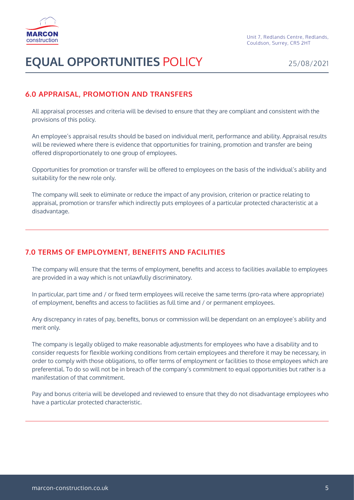

### **6.0 APPRAISAL, PROMOTION AND TRANSFERS**

All appraisal processes and criteria will be devised to ensure that they are compliant and consistent with the provisions of this policy.

An employee's appraisal results should be based on individual merit, performance and ability. Appraisal results will be reviewed where there is evidence that opportunities for training, promotion and transfer are being offered disproportionately to one group of employees.

Opportunities for promotion or transfer will be offered to employees on the basis of the individual's ability and suitability for the new role only.

The company will seek to eliminate or reduce the impact of any provision, criterion or practice relating to appraisal, promotion or transfer which indirectly puts employees of a particular protected characteristic at a disadvantage.

### **7.0 TERMS OF EMPLOYMENT, BENEFITS AND FACILITIES**

The company will ensure that the terms of employment, benefits and access to facilities available to employees are provided in a way which is not unlawfully discriminatory.

In particular, part time and / or fixed term employees will receive the same terms (pro-rata where appropriate) of employment, benefits and access to facilities as full time and / or permanent employees.

Any discrepancy in rates of pay, benefits, bonus or commission will be dependant on an employee's ability and merit only.

The company is legally obliged to make reasonable adjustments for employees who have a disability and to consider requests for flexible working conditions from certain employees and therefore it may be necessary, in order to comply with those obligations, to offer terms of employment or facilities to those employees which are preferential. To do so will not be in breach of the company's commitment to equal opportunities but rather is a manifestation of that commitment.

Pay and bonus criteria will be developed and reviewed to ensure that they do not disadvantage employees who have a particular protected characteristic.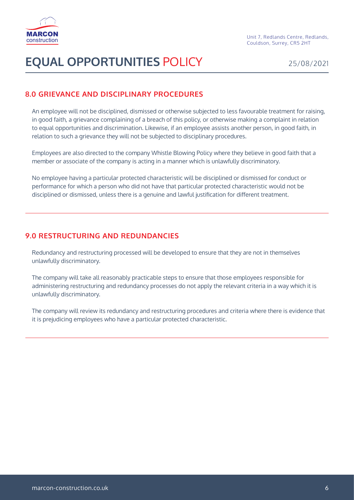

### **8.0 GRIEVANCE AND DISCIPLINARY PROCEDURES**

An employee will not be disciplined, dismissed or otherwise subjected to less favourable treatment for raising, in good faith, a grievance complaining of a breach of this policy, or otherwise making a complaint in relation to equal opportunities and discrimination. Likewise, if an employee assists another person, in good faith, in relation to such a grievance they will not be subjected to disciplinary procedures.

Employees are also directed to the company Whistle Blowing Policy where they believe in good faith that a member or associate of the company is acting in a manner which is unlawfully discriminatory.

No employee having a particular protected characteristic will be disciplined or dismissed for conduct or performance for which a person who did not have that particular protected characteristic would not be disciplined or dismissed, unless there is a genuine and lawful justification for different treatment.

### **9.0 RESTRUCTURING AND REDUNDANCIES**

Redundancy and restructuring processed will be developed to ensure that they are not in themselves unlawfully discriminatory.

The company will take all reasonably practicable steps to ensure that those employees responsible for administering restructuring and redundancy processes do not apply the relevant criteria in a way which it is unlawfully discriminatory.

The company will review its redundancy and restructuring procedures and criteria where there is evidence that it is prejudicing employees who have a particular protected characteristic.